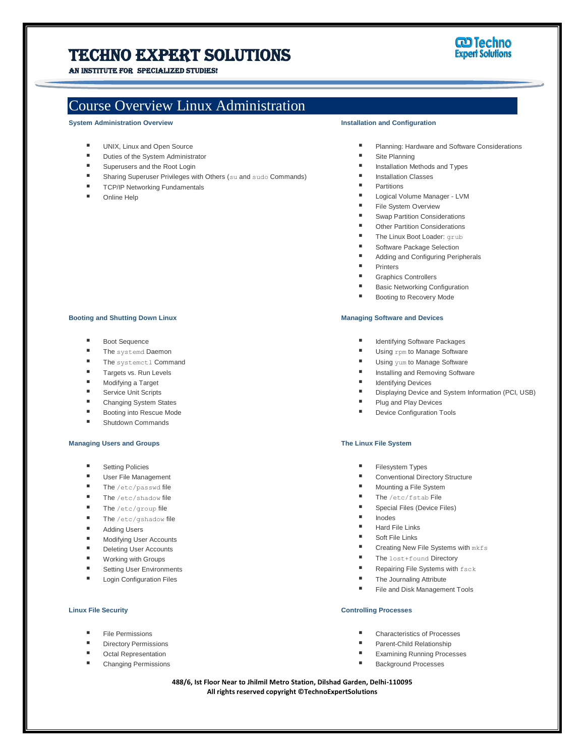# Techno Expert Solutions

AN INSTITUTE FOR SPECIALIZED STUDIES!

# Course Overview Linux Administration

**System Administration Overview**

- **UNIX, Linux and Open Source**
- **Duties of the System Administrator**
- Superusers and the Root Login
- Sharing Superuser Privileges with Others (su and sudo Commands)
- **TCP/IP Networking Fundamentals**
- Online Help

#### **Installation and Configuration**

I

- **Planning: Hardware and Software Considerations**
- Site Planning
- **Installation Methods and Types**
- **Installation Classes**
- **Partitions**
- Logical Volume Manager LVM
- File System Overview
- Swap Partition Considerations
- Other Partition Considerations
- The Linux Boot Loader: grub
- Software Package Selection
- Adding and Configuring Peripherals
- Printers
- Graphics Controllers
- Basic Networking Configuration
- Booting to Recovery Mode

## **Managing Software and Devices**

- Identifying Software Packages
- Using rpm to Manage Software
- Using yum to Manage Software
- Installing and Removing Software
- Identifying Devices
- Displaying Device and System Information (PCI, USB)
- Plug and Play Devices
- **Device Configuration Tools**

# **The Linux File System**

- Filesystem Types
- Conventional Directory Structure
- Mounting a File System
- The /etc/fstab File
- Special Files (Device Files)
- Inodes
- Hard File Links
- Soft File Links
- Creating New File Systems with mkfs
- The lost+found Directory
- Repairing File Systems with fsck
- The Journaling Attribute
- File and Disk Management Tools

### **Controlling Processes**

- Characteristics of Processes
- Parent-Child Relationship
- Examining Running Processes
- Background Processes

**488/6, Ist Floor Near to Jhilmil Metro Station, Dilshad Garden, Delhi-110095 All rights reserved copyright ©TechnoExpertSolutions**

#### **Booting and Shutting Down Linux**

- Boot Sequence
- The systemd Daemon
- The systemctl Command
- **Targets vs. Run Levels**
- Modifying a Target
- Service Unit Scripts
- Changing System States
- Booting into Rescue Mode
- **E** Shutdown Commands

### **Managing Users and Groups**

- Setting Policies
- User File Management
- $\blacksquare$  The /etc/passwd file
- The /etc/shadow file
- The /etc/group file
- The /etc/gshadow file
- **Adding Users**
- **Modifying User Accounts**
- Deleting User Accounts
- Working with Groups
- Setting User Environments
- Login Configuration Files

# **Linux File Security**

- File Permissions
- Directory Permissions
- Octal Representation
- Changing Permissions

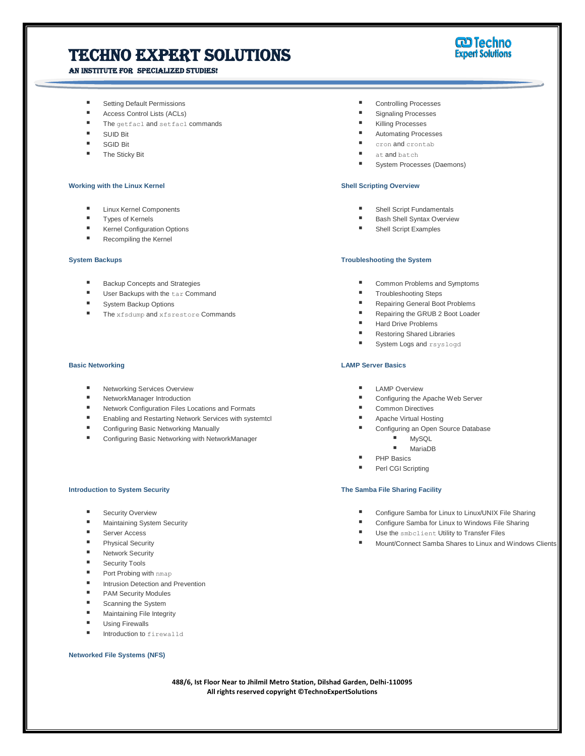# Techno Expert Solutions

# An institute for specialized studies!



- Setting Default Permissions
- Access Control Lists (ACLs)
- The getfacl and setfacl commands
- SUID Bit
- SGID Bit
- **The Sticky Bit**

#### **Working with the Linux Kernel**

- **Linux Kernel Components**
- **Types of Kernels**
- **Kernel Configuration Options**
- Recompiling the Kernel

#### **System Backups**

- Backup Concepts and Strategies
- **User Backups with the tar Command**
- System Backup Options
- **The xfsdump and xfsrestore Commands**

#### **Basic Networking**

- Networking Services Overview
- NetworkManager Introduction
- Network Configuration Files Locations and Formats
- Enabling and Restarting Network Services with systemtcl
- **E** Configuring Basic Networking Manually
- Configuring Basic Networking with NetworkManager

#### **Introduction to System Security**

- Security Overview
- Maintaining System Security
- Server Access
- Physical Security
- Network Security
- Security Tools
- Port Probing with nmap
- **Intrusion Detection and Prevention**
- **PAM Security Modules**
- Scanning the System
- Maintaining File Integrity
- **Using Firewalls**
- Introduction to firewalld

### **Networked File Systems (NFS)**

- Controlling Processes
- Signaling Processes
- Killing Processes

I

- Automating Processes
- cron and crontab
- at and batch
- System Processes (Daemons)

# **Shell Scripting Overview**

- **Shell Script Fundamentals**
- Bash Shell Syntax Overview
- Shell Script Examples

#### **Troubleshooting the System**

- Common Problems and Symptoms
- Troubleshooting Steps
- Repairing General Boot Problems
- Repairing the GRUB 2 Boot Loader
- Hard Drive Problems
- Restoring Shared Libraries
- System Logs and rsyslogd

#### **LAMP Server Basics**

- **LAMP Overview**
- Configuring the Apache Web Server
- Common Directives
- **Apache Virtual Hosting**
- Configuring an Open Source Database
	- MySQL
	- MariaDB
	- PHP Basics
- Perl CGI Scripting

#### **The Samba File Sharing Facility**

- Configure Samba for Linux to Linux/UNIX File Sharing
- Configure Samba for Linux to Windows File Sharing
- Use the smbclient Utility to Transfer Files
- Mount/Connect Samba Shares to Linux and Windows Clients

**488/6, Ist Floor Near to Jhilmil Metro Station, Dilshad Garden, Delhi-110095 All rights reserved copyright ©TechnoExpertSolutions**